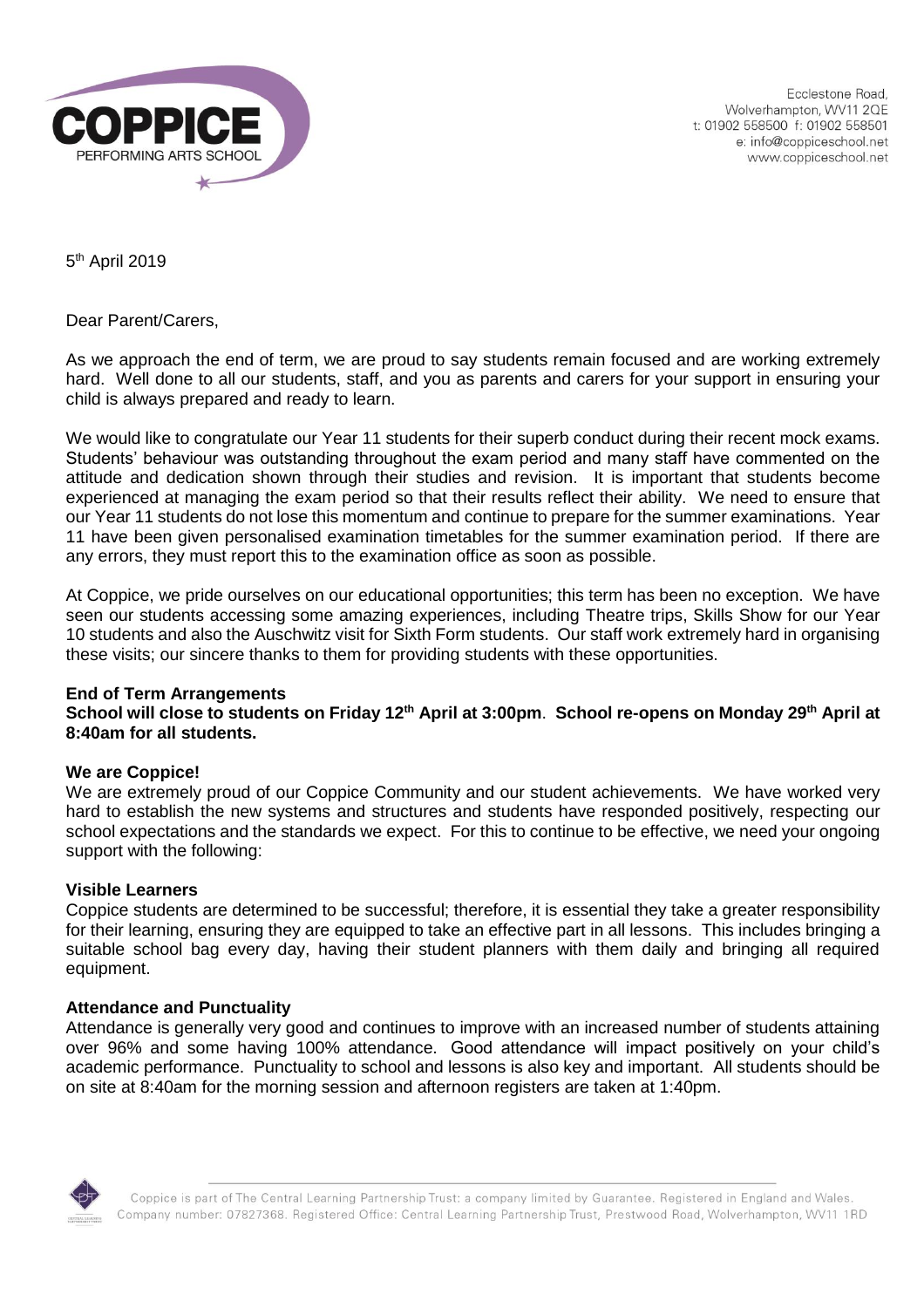

**Ecclestone Road** Wolverhampton, WV11 2QE t: 01902 558500 f: 01902 558501 e: info@coppiceschool.net www.coppiceschool.net

5<sup>th</sup> April 2019

Dear Parent/Carers,

As we approach the end of term, we are proud to say students remain focused and are working extremely hard. Well done to all our students, staff, and you as parents and carers for your support in ensuring your child is always prepared and ready to learn.

We would like to congratulate our Year 11 students for their superb conduct during their recent mock exams. Students' behaviour was outstanding throughout the exam period and many staff have commented on the attitude and dedication shown through their studies and revision. It is important that students become experienced at managing the exam period so that their results reflect their ability. We need to ensure that our Year 11 students do not lose this momentum and continue to prepare for the summer examinations. Year 11 have been given personalised examination timetables for the summer examination period. If there are any errors, they must report this to the examination office as soon as possible.

At Coppice, we pride ourselves on our educational opportunities; this term has been no exception. We have seen our students accessing some amazing experiences, including Theatre trips, Skills Show for our Year 10 students and also the Auschwitz visit for Sixth Form students. Our staff work extremely hard in organising these visits; our sincere thanks to them for providing students with these opportunities.

# **End of Term Arrangements**

**School will close to students on Friday 12th April at 3:00pm**. **School re-opens on Monday 29th April at 8:40am for all students.**

# **We are Coppice!**

We are extremely proud of our Coppice Community and our student achievements. We have worked very hard to establish the new systems and structures and students have responded positively, respecting our school expectations and the standards we expect. For this to continue to be effective, we need your ongoing support with the following:

# **Visible Learners**

Coppice students are determined to be successful; therefore, it is essential they take a greater responsibility for their learning, ensuring they are equipped to take an effective part in all lessons. This includes bringing a suitable school bag every day, having their student planners with them daily and bringing all required equipment.

# **Attendance and Punctuality**

Attendance is generally very good and continues to improve with an increased number of students attaining over 96% and some having 100% attendance. Good attendance will impact positively on your child's academic performance. Punctuality to school and lessons is also key and important. All students should be on site at 8:40am for the morning session and afternoon registers are taken at 1:40pm.

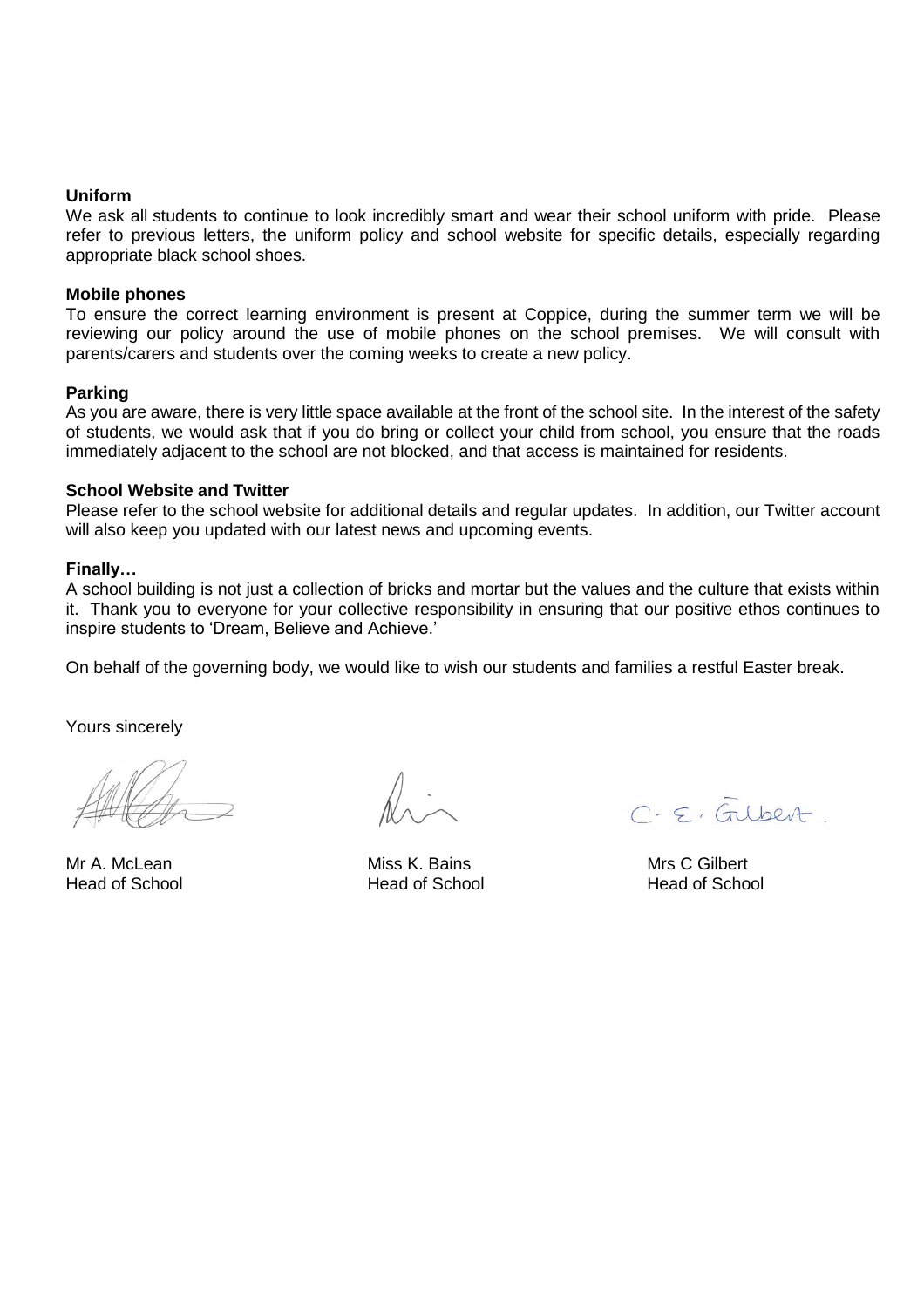#### **Uniform**

We ask all students to continue to look incredibly smart and wear their school uniform with pride. Please refer to previous letters, the uniform policy and school website for specific details, especially regarding appropriate black school shoes.

### **Mobile phones**

To ensure the correct learning environment is present at Coppice, during the summer term we will be reviewing our policy around the use of mobile phones on the school premises. We will consult with parents/carers and students over the coming weeks to create a new policy.

#### **Parking**

As you are aware, there is very little space available at the front of the school site. In the interest of the safety of students, we would ask that if you do bring or collect your child from school, you ensure that the roads immediately adjacent to the school are not blocked, and that access is maintained for residents.

#### **School Website and Twitter**

Please refer to the school website for additional details and regular updates. In addition, our Twitter account will also keep you updated with our latest news and upcoming events.

#### **Finally…**

A school building is not just a collection of bricks and mortar but the values and the culture that exists within it. Thank you to everyone for your collective responsibility in ensuring that our positive ethos continues to inspire students to 'Dream, Believe and Achieve.'

On behalf of the governing body, we would like to wish our students and families a restful Easter break.

Yours sincerely

Head of School

 $C - 5$ , Gubert

Mr A. McLean Miss K. Bains Miss K. Bains Mr S. C Gilbert<br>
Head of School Head of School Head of School